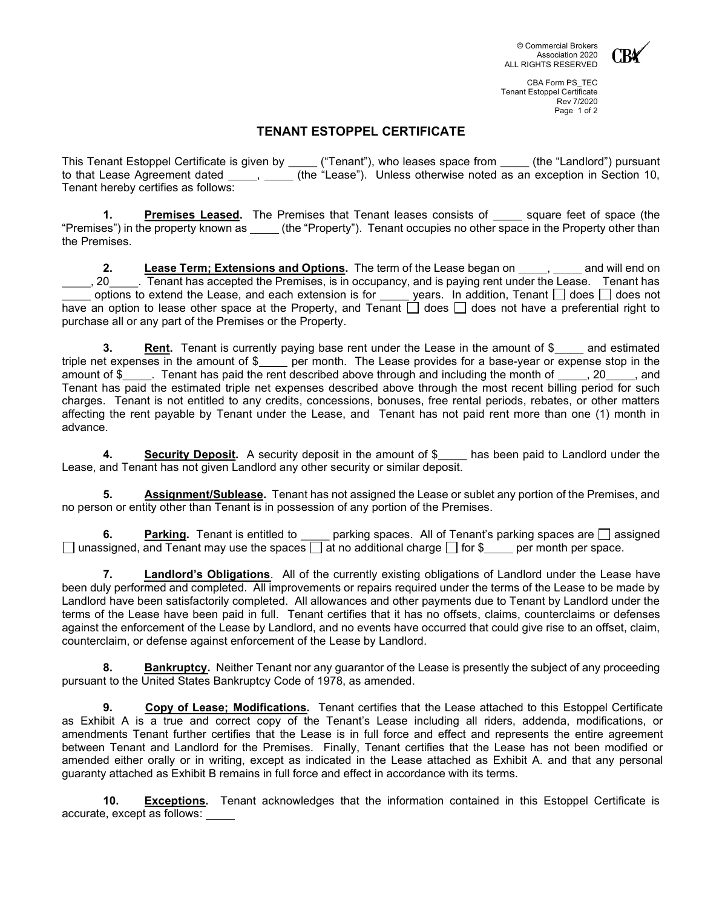

## TENANT ESTOPPEL CERTIFICATE

This Tenant Estoppel Certificate is given by \_\_\_\_\_("Tenant"), who leases space from \_\_\_\_\_(the "Landlord") pursuant to that Lease Agreement dated  $\_\_\_\,,\_\_\_\_$  (the "Lease"). Unless otherwise noted as an exception in Section 10, Tenant hereby certifies as follows:

1. Premises Leased. The Premises that Tenant leases consists of square feet of space (the "Premises") in the property known as (the "Property"). Tenant occupies no other space in the Property other than the Premises.

2. Lease Term; Extensions and Options. The term of the Lease began on will end on 5. 20 . Tenant has accepted the Premises, is in occupancy, and is paying rent under the Lease. Tenant has options to extend the Lease, and each extension is for  $\Box$  years. In addition, Tenant  $\Box$  does  $\Box$  does not have an option to lease other space at the Property, and Tenant  $\Box$  does  $\Box$  does not have a preferential right to purchase all or any part of the Premises or the Property.

3. **Rent.** Tenant is currently paying base rent under the Lease in the amount of \$ and estimated triple net expenses in the amount of \$\_\_\_\_ per month. The Lease provides for a base-year or expense stop in the amount of \$ . Tenant has paid the rent described above through and including the month of , 20 , and Tenant has paid the estimated triple net expenses described above through the most recent billing period for such charges. Tenant is not entitled to any credits, concessions, bonuses, free rental periods, rebates, or other matters affecting the rent payable by Tenant under the Lease, and Tenant has not paid rent more than one (1) month in advance.

4. Security Deposit. A security deposit in the amount of \$\_\_\_ has been paid to Landlord under the Lease, and Tenant has not given Landlord any other security or similar deposit.

5. Assignment/Sublease. Tenant has not assigned the Lease or sublet any portion of the Premises, and no person or entity other than Tenant is in possession of any portion of the Premises.

6. **Parking.** Tenant is entitled to parking spaces. All of Tenant's parking spaces are  $\Box$  assigned  $\Box$  unassigned, and Tenant may use the spaces  $\Box$  at no additional charge  $\Box$  for \$ per month per space.

Landlord's Obligations. All of the currently existing obligations of Landlord under the Lease have been duly performed and completed. All improvements or repairs required under the terms of the Lease to be made by Landlord have been satisfactorily completed. All allowances and other payments due to Tenant by Landlord under the terms of the Lease have been paid in full. Tenant certifies that it has no offsets, claims, counterclaims or defenses against the enforcement of the Lease by Landlord, and no events have occurred that could give rise to an offset, claim, counterclaim, or defense against enforcement of the Lease by Landlord.

8. Bankruptcy. Neither Tenant nor any guarantor of the Lease is presently the subject of any proceeding pursuant to the United States Bankruptcy Code of 1978, as amended.

9. Copy of Lease; Modifications. Tenant certifies that the Lease attached to this Estoppel Certificate as Exhibit A is a true and correct copy of the Tenant's Lease including all riders, addenda, modifications, or amendments Tenant further certifies that the Lease is in full force and effect and represents the entire agreement between Tenant and Landlord for the Premises. Finally, Tenant certifies that the Lease has not been modified or amended either orally or in writing, except as indicated in the Lease attached as Exhibit A. and that any personal guaranty attached as Exhibit B remains in full force and effect in accordance with its terms.

10**.** Exceptions. Tenant acknowledges that the information contained in this Estoppel Certificate is accurate, except as follows: